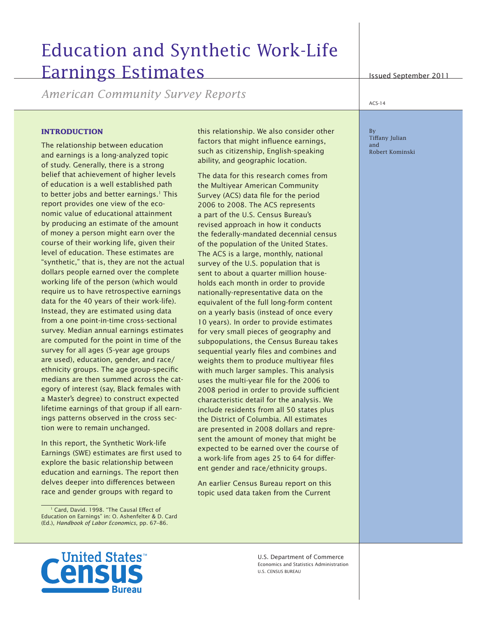# Education and Synthetic Work-Life Earnings Estimates

*American Community Survey Reports*

#### **INTRODUCTION**

The relationship between education and earnings is a long-analyzed topic of study. Generally, there is a strong belief that achievement of higher levels of education is a well established path to better jobs and better earnings.<sup>1</sup> This report provides one view of the economic value of educational attainment by producing an estimate of the amount of money a person might earn over the course of their working life, given their level of education. These estimates are "synthetic," that is, they are not the actual dollars people earned over the complete working life of the person (which would require us to have retrospective earnings data for the 40 years of their work-life). Instead, they are estimated using data from a one point-in-time cross-sectional survey. Median annual earnings estimates are computed for the point in time of the survey for all ages (5-year age groups are used), education, gender, and race/ ethnicity groups. The age group-specific medians are then summed across the category of interest (say, Black females with a Master's degree) to construct expected lifetime earnings of that group if all earnings patterns observed in the cross section were to remain unchanged.

In this report, the Synthetic Work-life Earnings (SWE) estimates are first used to explore the basic relationship between education and earnings. The report then delves deeper into differences between race and gender groups with regard to

this relationship. We also consider other factors that might influence earnings, such as citizenship, English-speaking ability, and geographic location.

The data for this research comes from the Multiyear American Community Survey (ACS) data file for the period 2006 to 2008. The ACS represents a part of the U.S. Census Bureau's revised approach in how it conducts the federally-mandated decennial census of the population of the United States. The ACS is a large, monthly, national survey of the U.S. population that is sent to about a quarter million households each month in order to provide nationally-representative data on the equivalent of the full long-form content on a yearly basis (instead of once every 10 years). In order to provide estimates for very small pieces of geography and subpopulations, the Census Bureau takes sequential yearly files and combines and weights them to produce multiyear files with much larger samples. This analysis uses the multi-year file for the 2006 to 2008 period in order to provide sufficient characteristic detail for the analysis. We include residents from all 50 states plus the District of Columbia. All estimates are presented in 2008 dollars and represent the amount of money that might be expected to be earned over the course of a work-life from ages 25 to 64 for different gender and race/ethnicity groups.

An earlier Census Bureau report on this topic used data taken from the Current

Issued September 2011

 $ACS-14$ 

By Tiffany Julian and Robert Kominski



U.S. Department of Commerce Economics and Statistics Administration U.S. CENSUS BUREAU

<sup>&</sup>lt;sup>1</sup> Card, David. 1998. "The Causal Effect of Education on Earnings" in: O. Ashenfelter & D. Card (Ed.), *Handbook of Labor Economics*, pp. 67–86.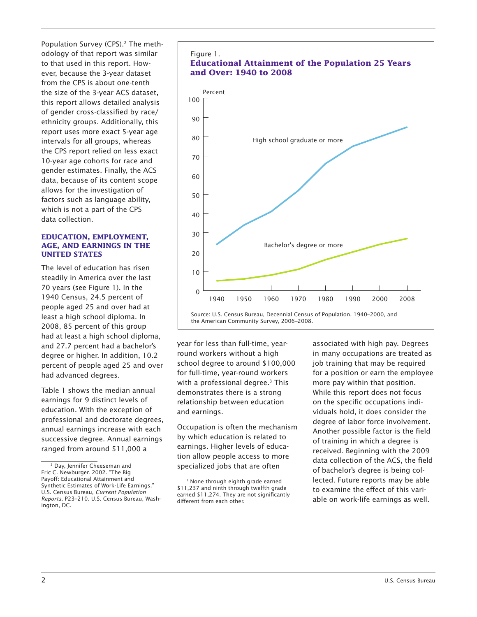Population Survey (CPS).<sup>2</sup> The methodology of that report was similar to that used in this report. However, because the 3-year dataset from the CPS is about one-tenth the size of the 3-year ACS dataset, this report allows detailed analysis of gender cross-classified by race/ ethnicity groups. Additionally, this report uses more exact 5-year age intervals for all groups, whereas the CPS report relied on less exact 10-year age cohorts for race and gender estimates. Finally, the ACS data, because of its content scope allows for the investigation of factors such as language ability, which is not a part of the CPS data collection.

#### **EDUCATION, EMPLOYMENT, AGE, AND EARNINGS IN THE UNITED STATES**

The level of education has risen steadily in America over the last 70 years (see Figure 1). In the 1940 Census, 24.5 percent of people aged 25 and over had at least a high school diploma. In 2008, 85 percent of this group had at least a high school diploma, and 27.7 percent had a bachelor's degree or higher. In addition, 10.2 percent of people aged 25 and over had advanced degrees.

Table 1 shows the median annual earnings for 9 distinct levels of education. With the exception of professional and doctorate degrees, annual earnings increase with each successive degree. Annual earnings ranged from around \$11,000 a



year for less than full-time, yearround workers without a high school degree to around \$100,000 for full-time, year-round workers with a professional degree.<sup>3</sup> This demonstrates there is a strong relationship between education and earnings.

Occupation is often the mechanism by which education is related to earnings. Higher levels of education allow people access to more specialized jobs that are often

associated with high pay. Degrees in many occupations are treated as job training that may be required for a position or earn the employee more pay within that position. While this report does not focus on the specific occupations individuals hold, it does consider the degree of labor force involvement. Another possible factor is the field of training in which a degree is received. Beginning with the 2009 data collection of the ACS, the field of bachelor's degree is being collected. Future reports may be able to examine the effect of this variable on work-life earnings as well.

<sup>2</sup> Day, Jennifer Cheeseman and Eric C. Newburger. 2002. "The Big Payoff: Educational Attainment and Synthetic Estimates of Work-Life Earnings." U.S. Census Bureau, *Current Population Reports*, P23–210. U.S. Census Bureau, Washington, DC.

<sup>&</sup>lt;sup>3</sup> None through eighth grade earned \$11,237 and ninth through twelfth grade earned \$11,274. They are not significantly different from each other.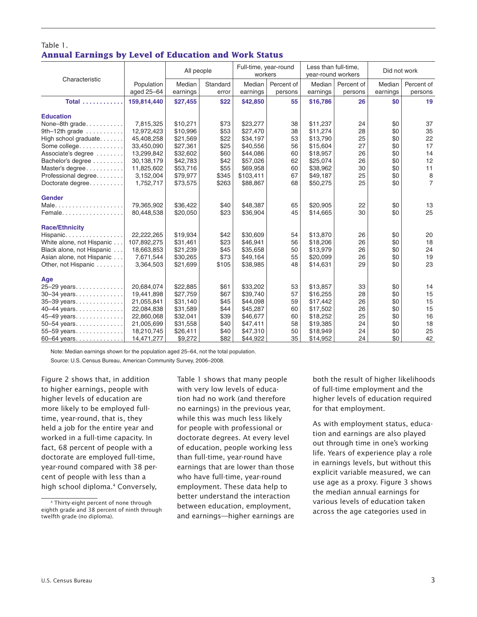### Table 1. **Annual Earnings by Level of Education and Work Status**

| Characteristic            |                          | All people         |                   | Full-time, year-round<br>workers |                       | Less than full-time,<br>year-round workers |                       | Did not work       |                                       |
|---------------------------|--------------------------|--------------------|-------------------|----------------------------------|-----------------------|--------------------------------------------|-----------------------|--------------------|---------------------------------------|
|                           | Population<br>aged 25-64 | Median<br>earnings | Standard<br>error | Median<br>earnings               | Percent of<br>persons | Median<br>earnings                         | Percent of<br>persons | Median<br>earnings | Percent of<br>persons                 |
| Total                     | 159,814,440              | \$27,455           | \$22              | \$42,850                         | 55                    | \$16,786                                   | 26                    | \$0                | 19                                    |
| <b>Education</b>          |                          |                    |                   |                                  |                       |                                            |                       |                    |                                       |
| None-8th grade            | 7,815,325                | \$10,271           | \$73              | \$23,277                         | 38                    | \$11,237                                   | 24                    | \$0                | 37                                    |
| 9th-12th grade $\ldots$   | 12,972,423               | \$10,996           | \$53              | \$27,470                         | 38                    | \$11,274                                   | 28                    | \$0                | 35                                    |
| High school graduate      | 45,408,258               | \$21,569           | \$22              | \$34,197                         | 53                    | \$13,790                                   | 25                    | \$0                | 22                                    |
| Some college.             | 33,450,090               | \$27,361           | \$25              | \$40,556                         | 56                    | \$15,604                                   | 27                    | \$0                | 17                                    |
| Associate's degree        | 13,299,842               | \$32,602           | \$60              | \$44,086                         | 60                    | \$18,957                                   | 26                    | \$0                | 14                                    |
| Bachelor's degree         | 30,138,179               | \$42,783           | \$42              | \$57,026                         | 62                    | \$25,074                                   | 26                    | \$0                | 12                                    |
| Master's degree           | 11,825,602               | \$53,716           | \$55              | \$69.958                         | 60                    | \$38,962                                   | 30                    | \$0                | 11                                    |
| Professional degree       | 3,152,004                | \$79,977           | \$345             | \$103,411                        | 67                    | \$49,187                                   | 25                    | \$0                | $\begin{array}{c} 8 \\ 7 \end{array}$ |
| Doctorate degree          | 1,752,717                | \$73,575           | \$263             | \$88,867                         | 68                    | \$50,275                                   | 25                    | \$0                |                                       |
| <b>Gender</b>             |                          |                    |                   |                                  |                       |                                            |                       |                    |                                       |
| Male                      | 79,365,902               | \$36,422           | \$40              | \$48,387                         | 65                    | \$20.905                                   | 22                    | \$0                | 13                                    |
| Female                    | 80,448,538               | \$20,050           | \$23              | \$36,904                         | 45                    | \$14,665                                   | 30                    | \$0                | 25                                    |
| <b>Race/Ethnicity</b>     |                          |                    |                   |                                  |                       |                                            |                       |                    |                                       |
| Hispanic                  | 22,222,265               | \$19,934           | \$42              | \$30,609                         | 54                    | \$13,870                                   | 26                    | \$0                | 20                                    |
| White alone, not Hispanic | 107,892,275              | \$31,461           | \$23              | \$46.941                         | 56                    | \$18,206                                   | 26                    | \$0                | 18                                    |
| Black alone, not Hispanic | 18,663,853               | \$21,239           | \$45              | \$35,658                         | 50                    | \$13,979                                   | 26                    | \$0                | 24                                    |
| Asian alone, not Hispanic | 7,671,544                | \$30,265           | \$73              | \$49,164                         | 55                    | \$20,099                                   | 26                    | \$0                | 19                                    |
| Other, not Hispanic       | 3,364,503                | \$21,699           | \$105             | \$38,985                         | 48                    | \$14,631                                   | 29                    | \$0                | 23                                    |
| Age                       |                          |                    |                   |                                  |                       |                                            |                       |                    |                                       |
| 25-29 years               | 20,684,074               | \$22,885           | \$61              | \$33,202                         | 53                    | \$13,857                                   | 33                    | \$0                | 14                                    |
| 30-34 years               | 19,441,898               | \$27,759           | \$67              | \$39.740                         | 57                    | \$16,255                                   | 28                    | \$0                | 15                                    |
| 35-39 years               | 21,055,841               | \$31,140           | \$45              | \$44,098                         | 59                    | \$17,442                                   | 26                    | \$0                | 15                                    |
| 40-44 years               | 22,084,838               | \$31,589           | \$44              | \$45,287                         | 60                    | \$17,502                                   | 26                    | \$0                | 15                                    |
| 45-49 years               | 22,860,068               | \$32,041           | \$39              | \$46,677                         | 60                    | \$18,252                                   | 25                    | \$0                | 16                                    |
| 50-54 years               | 21,005,699               | \$31,558           | \$40              | \$47,411                         | 58                    | \$19,385                                   | 24                    | \$0                | 18                                    |
| 55-59 years               | 18,210,745               | \$26,411           | \$40              | \$47,310                         | 50                    | \$18,949                                   | 24                    | \$0                | 25                                    |
| 60-64 years               | 14,471,277               | \$9,272            | \$82              | \$44,922                         | 35                    | \$14,952                                   | 24                    | \$0                | 42                                    |
|                           |                          |                    |                   |                                  |                       |                                            |                       |                    |                                       |

Note: Median earnings shown for the population aged 25-64, not the total population.

Source: U.S. Census Bureau, American Community Survey, 2006-2008.

to higher earnings, people with with very low levels of educa- of full-time employment and the more likely to be employed full- no earnings) in the previous year, for that employment. time, year-round, that is, they<br>
while this was much less likely<br>
Mas with employment status, educa-<br>
theld a job for the entire year and<br>
for people with professional or<br>
doctorate degrees. At every level<br>
fact, 68 percen

Figure 2 shows that, in addition Table 1 shows that many people both the result of higher likelihoods higher levels of education are tion had no work (and therefore higher levels of education required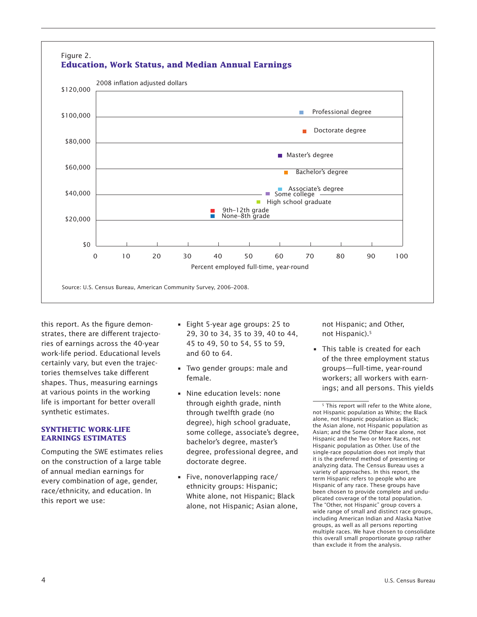

this report. As the figure demonstrates, there are different trajectories of earnings across the 40-year work-life period. Educational levels certainly vary, but even the trajectories themselves take different shapes. Thus, measuring earnings at various points in the working life is important for better overall synthetic estimates.

#### **SYNTHETIC WORK-LIFE EARNINGS ESTIMATES**

Computing the SWE estimates relies on the construction of a large table of annual median earnings for every combination of age, gender, race/ethnicity, and education. In this report we use:

- Eight 5-year age groups: 25 to 29, 30 to 34, 35 to 39, 40 to 44, 45 to 49, 50 to 54, 55 to 59, and 60 to 64.
- Two gender groups: male and female.
- Nine education levels: none through eighth grade, ninth through twelfth grade (no degree), high school graduate, some college, associate's degree, bachelor's degree, master's degree, professional degree, and doctorate degree.
- Five, nonoverlapping race/ ethnicity groups: Hispanic; White alone, not Hispanic; Black alone, not Hispanic; Asian alone,

not Hispanic; and Other, not Hispanic).<sup>5</sup>

• This table is created for each of the three employment status groups—full-time, year-round workers; all workers with earnings; and all persons. This yields

<sup>&</sup>lt;sup>5</sup> This report will refer to the White alone. not Hispanic population as White; the Black alone, not Hispanic population as Black; the Asian alone, not Hispanic population as Asian; and the Some Other Race alone, not Hispanic and the Two or More Races, not Hispanic population as Other. Use of the single-race population does not imply that it is the preferred method of presenting or analyzing data. The Census Bureau uses a variety of approaches. In this report, the term Hispanic refers to people who are Hispanic of any race. These groups have been chosen to provide complete and unduplicated coverage of the total population. The "Other, not Hispanic" group covers a wide range of small and distinct race groups, including American Indian and Alaska Native groups, as well as all persons reporting multiple races. We have chosen to consolidate this overall small proportionate group rather than exclude it from the analysis.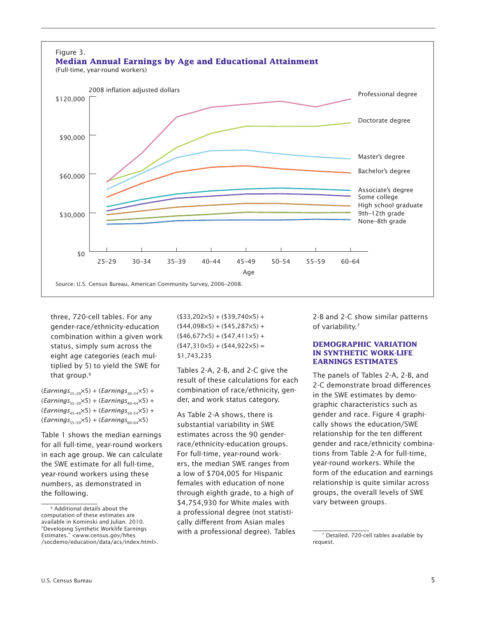

qender-race/ethnicity-education  $(44,098\times5) + (45,287\times5) +$  of variability.<sup>7</sup> combination within a given work  $(46,677\times5) + (47,411\times5) +$ status, simply sum across the  $(547,310\times5) + (544,922\times5) =$ <br>**DEMOGRAPHIC VARIATION IN SYNTHETIC WORK-LIFE IN SYNTHETIC WORK-L**<br> **IN SYNTHETIC WORK-LIFE IS ARRIVE ARRIVES** 

Table 1 shows the median earnings estimates across the 90 gender- relationship for the ten different in each age group. We can calculate For full-time, year-round work- tions from Table 2-A for full-time, the SWE estimate for all full-time, ers, the median SWE ranges from year-round workers. While the numbers, as demonstrated in females with education of none relationship is quite similar across the following. through eighth grade, to a high of groups, the overall levels of SWE

tiplied by 5) to yield the SWE for<br>that group.<sup>6</sup> Tables 2-A, 2-B, and 2-C give the<br>that group.<sup>6</sup> The panels of Tables 2-A, 2-B, and<br>2-C demonstrate broad differences

 $\frac{1}{2}$   $\frac{1}{2}$   $\frac{1}{2}$   $\frac{1}{2}$   $\frac{1}{2}$   $\frac{1}{2}$   $\frac{1}{2}$   $\frac{1}{2}$   $\frac{1}{2}$   $\frac{1}{2}$   $\frac{1}{2}$   $\frac{1}{2}$   $\frac{1}{2}$   $\frac{1}{2}$   $\frac{1}{2}$   $\frac{1}{2}$   $\frac{1}{2}$   $\frac{1}{2}$   $\frac{1}{2}$   $\frac{1}{2}$   $\frac{1}{2}$   $\frac{1}{2}$ 

three, 720-cell tables. For any  $(333,202\times5) + (339,740\times5) +$  2-B and 2-C show similar patterns

(*Earnings*<sub>35-39</sub>×5) + (*Earnings*<sub>30-34</sub>×5) +<br>
(*Earnings*<sub>35-39</sub>×5) + (*Earnings*<sub>30-34</sub>×5) +<br>
(*Earnings*<sub>35-39</sub>×5) + (*Earnings*<sub>50-54</sub>×5) +<br>
(*Earnings*<sub>55-59</sub>×5) + (*Earnings*<sub>50-54</sub>×5) +<br>
(*Earnings*<sub>55-59</sub>×5) + ( for all full-time, year-round workers race/ethnicity-education groups. gender and race/ethnicity combinayear-round workers using these a low of \$704,005 for Hispanic form of the education and earnings

available in Kominski and Julian. 2010. Cally different from Asian males<br>"Developing Synthetic Worklife Earnings" buith a nucleasianal deguse). Tab "Developing Synthetic Worklife Earnings" with a professional degree). Tables The Contailed, 720-cell tables available by<br>Estimates." <www.census.gov/hhes /socdemo/education/data/acs/index.html>. request.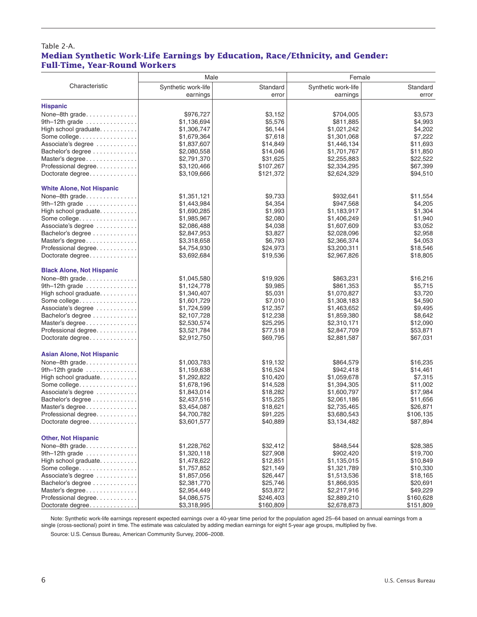### Table 2-A. **Median Synthetic Work-Life Earnings by Education, Race/Ethnicity, and Gender: Full-Time, Year-Round Workers**

|                                              | Male                |           | Female              |           |  |
|----------------------------------------------|---------------------|-----------|---------------------|-----------|--|
| Characteristic                               | Synthetic work-life | Standard  | Synthetic work-life | Standard  |  |
|                                              | earnings            | error     | earnings            | error     |  |
|                                              |                     |           |                     |           |  |
| <b>Hispanic</b>                              |                     |           |                     |           |  |
| None-8th grade                               | \$976,727           | \$3,152   | \$704,005           | \$3,573   |  |
| 9th-12th grade                               | \$1,136,694         | \$5,576   | \$811,885           | \$4,993   |  |
| High school graduate                         | \$1,306,747         | \$6,144   | \$1,021,242         | \$4,202   |  |
| Some college.                                | \$1,679,364         | \$7,618   | \$1,301,068         | \$7,222   |  |
| Associate's degree                           | \$1,837,607         | \$14,849  | \$1,446,134         | \$11,693  |  |
| Bachelor's degree                            | \$2,080,558         | \$14,046  | \$1,701,767         | \$11,850  |  |
| Master's degree                              | \$2,791,370         | \$31,625  | \$2,255,883         | \$22,522  |  |
| Professional degree                          | \$3,120,466         | \$107,267 | \$2,334,295         | \$67,399  |  |
| Doctorate degree                             | \$3,109,666         | \$121,372 | \$2,624,329         | \$94,510  |  |
| <b>White Alone, Not Hispanic</b>             |                     |           |                     |           |  |
| None-8th grade                               | \$1,351,121         | \$9,733   | \$932,641           | \$11,554  |  |
| 9th-12th grade $\ldots \ldots \ldots \ldots$ | \$1,443,984         | \$4,354   | \$947,568           | \$4,205   |  |
| High school graduate.                        | \$1,690,285         | \$1,993   | \$1,183,917         | \$1,304   |  |
| Some college.                                | \$1,985,967         | \$2,080   | \$1,406,249         | \$1,940   |  |
| Associate's degree                           | \$2,086,488         | \$4,038   | \$1,607,609         | \$3.052   |  |
| Bachelor's degree                            | \$2,847,953         | \$3,827   | \$2,028,096         | \$2,958   |  |
| Master's degree                              | \$3,318,658         | \$6,793   | \$2,366,374         | \$4,053   |  |
| Professional degree                          | \$4,754,930         | \$24,973  | \$3,200,311         | \$18,546  |  |
| Doctorate degree                             | \$3,692,684         | \$19,536  | \$2,967,826         | \$18,805  |  |
| <b>Black Alone, Not Hispanic</b>             |                     |           |                     |           |  |
| None-8th grade                               | \$1,045,580         | \$19,926  | \$863,231           | \$16,216  |  |
| 9th $-12$ th grade                           | \$1,124,778         | \$9,985   | \$861,353           | \$5,715   |  |
| High school graduate.                        | \$1,340,407         | \$5,031   | \$1,070,827         | \$3,720   |  |
| Some college.                                | \$1,601,729         | \$7,010   | \$1,308,183         | \$4,590   |  |
| Associate's degree                           | \$1,724,599         | \$12,357  | \$1,463,652         | \$9,495   |  |
| Bachelor's degree                            | \$2,107,728         | \$12,238  | \$1,859,380         | \$8,642   |  |
| Master's degree                              | \$2,530,574         | \$25,295  | \$2,310,171         | \$12,090  |  |
| Professional degree                          | \$3,521,784         | \$77,518  | \$2,847,709         | \$53,871  |  |
| Doctorate degree                             | \$2,912,750         | \$69,795  | \$2,881,587         | \$67,031  |  |
| <b>Asian Alone, Not Hispanic</b>             |                     |           |                     |           |  |
| None-8th grade                               | \$1,003,783         | \$19,132  | \$864,579           | \$16,235  |  |
| 9th-12th grade $\dots\dots\dots\dots\dots$   | \$1,159,638         | \$16,524  | \$942,418           | \$14,461  |  |
| High school graduate.                        | \$1,292,822         | \$10,420  | \$1,059,678         | \$7,315   |  |
| Some college.                                | \$1,678,196         | \$14,528  | \$1,394,305         | \$11,002  |  |
| Associate's degree                           | \$1,843,014         | \$18,282  | \$1,600,797         | \$17,984  |  |
| Bachelor's degree                            | \$2,437,516         | \$15,225  | \$2,061,186         | \$11,656  |  |
| Master's degree                              | \$3,454,087         | \$18,621  | \$2,735,465         | \$26,871  |  |
| Professional degree                          | \$4,700,782         | \$91,225  | \$3,680,543         | \$106,135 |  |
| Doctorate degree                             | \$3,601,577         | \$40,889  | \$3,134,482         | \$87,894  |  |
| <b>Other, Not Hispanic</b>                   |                     |           |                     |           |  |
|                                              | \$1,228,762         | \$32,412  | \$848,544           | \$28,385  |  |
| None-8th grade.<br>9th-12th grade            | \$1,320,118         | \$27,908  | \$902,420           | \$19,700  |  |
| High school graduate                         | \$1,478,622         | \$12,851  | \$1,135,015         | \$10,849  |  |
| Some college.                                | \$1,757,852         | \$21,149  | \$1,321,789         | \$10,330  |  |
| Associate's degree                           | \$1,857,056         | \$26,447  | \$1,513,536         | \$18,165  |  |
| Bachelor's degree                            | \$2,381,770         | \$25,746  | \$1,866,935         | \$20,691  |  |
| Master's degree                              | \$2,954,449         | \$53,872  | \$2,217,916         | \$49,229  |  |
| Professional degree.                         | \$4,086,575         | \$246,403 | \$2,889,210         | \$160,628 |  |
| Doctorate degree                             | \$3,318,995         | \$160,809 | \$2,678,873         | \$151,809 |  |

Note: Synthetic work-life earnings represent expected earnings over a 40-year time period for the population aged 25–64 based on annual earnings from a single (cross-sectional) point in time. The estimate was calculated by adding median earnings for eight 5-year age groups, multiplied by five.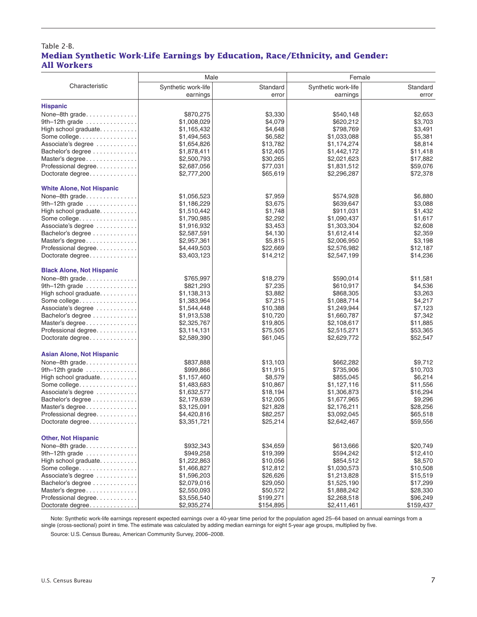#### Table 2-B. **Median Synthetic Work-Life Earnings by Education, Race/Ethnicity, and Gender: All Workers**

|                                  | Male                       |           | Female              |           |  |
|----------------------------------|----------------------------|-----------|---------------------|-----------|--|
| Characteristic                   | Synthetic work-life        | Standard  | Synthetic work-life | Standard  |  |
|                                  | earnings                   | error     | earnings            | error     |  |
|                                  |                            |           |                     |           |  |
| <b>Hispanic</b>                  |                            |           |                     |           |  |
| None-8th grade.                  | \$870,275                  | \$3,330   | \$540,148           | \$2,653   |  |
| 9th-12th grade                   | \$1,008,029                | \$4,079   | \$620,212           | \$3,703   |  |
| High school graduate.            | \$1,165,432                | \$4,648   | \$798,769           | \$3,491   |  |
| Some college.                    | \$1,494,563                | \$6,582   | \$1,033,088         | \$5,381   |  |
| Associate's degree               | \$1,654,826                | \$13,782  | \$1,174,274         | \$8,814   |  |
| Bachelor's degree                | \$1,878,411                | \$12,405  | \$1,442,172         | \$11,418  |  |
| Master's degree                  | \$2,500,793                | \$30,265  | \$2,021,623         | \$17,882  |  |
| Professional degree              | \$2,687,056                | \$77,031  | \$1,831,512         | \$59,076  |  |
| Doctorate degree                 | \$2,777,200                | \$65,619  | \$2,296,287         | \$72,378  |  |
|                                  |                            |           |                     |           |  |
| <b>White Alone, Not Hispanic</b> |                            |           |                     |           |  |
| None-8th grade.                  | \$1,056,523                | \$7,959   | \$574,928           | \$6,880   |  |
| 9th $-12$ th grade               | \$1,186,229                | \$3,675   | \$639,647           | \$3,088   |  |
| High school graduate.            | \$1,510,442                | \$1,748   | \$911,031           | \$1,432   |  |
| Some college.                    | \$1,790,985                | \$2,292   | \$1,090,437         | \$1,617   |  |
| Associate's degree               | \$1,916,932                | \$3,453   | \$1,303,304         | \$2,608   |  |
| Bachelor's degree                | \$2,587,591                | \$4,130   | \$1,612,414         | \$2,359   |  |
| Master's degree                  | \$2,957,361                | \$5,815   | \$2,006,950         | \$3,198   |  |
| Professional degree.             | \$4,449,503                | \$22,669  | \$2,576,982         | \$12,187  |  |
| Doctorate degree                 | \$3,403,123                | \$14,212  | \$2,547,199         | \$14,236  |  |
| <b>Black Alone, Not Hispanic</b> |                            |           |                     |           |  |
| None-8th grade                   | \$765,997                  | \$18,279  | \$590,014           | \$11,581  |  |
| 9th-12th grade                   | \$821,293                  | \$7,235   | \$610,917           | \$4,536   |  |
|                                  |                            | \$3,882   | \$868,305           | \$3,263   |  |
| High school graduate.            | \$1,138,313<br>\$1,383,964 | \$7,215   | \$1,088,714         | \$4,217   |  |
| Some college.                    |                            |           |                     |           |  |
| Associate's degree               | \$1,544,448                | \$10,388  | \$1,249,944         | \$7,123   |  |
| Bachelor's degree                | \$1,913,538                | \$10,720  | \$1,660,787         | \$7,342   |  |
| Master's degree                  | \$2,325,767                | \$19,805  | \$2,108,617         | \$11,885  |  |
| Professional degree              | \$3,114,131                | \$75,505  | \$2,515,271         | \$53,365  |  |
| Doctorate degree                 | \$2,589,390                | \$61,045  | \$2,629,772         | \$52,547  |  |
| <b>Asian Alone, Not Hispanic</b> |                            |           |                     |           |  |
| None-8th grade                   | \$837,888                  | \$13,103  | \$662,282           | \$9,712   |  |
| 9th-12th grade                   | \$999,866                  | \$11,915  | \$735,906           | \$10,703  |  |
| High school graduate.            | \$1,157,460                | \$8,579   | \$855,045           | \$6,214   |  |
| Some college.                    | \$1,483,683                | \$10,867  | \$1,127,116         | \$11,556  |  |
| Associate's degree               | \$1,632,577                | \$18,194  | \$1,306,873         | \$16,294  |  |
| Bachelor's degree                | \$2,179,639                | \$12,005  | \$1,677,965         | \$9,296   |  |
| Master's degree                  | \$3,125,091                | \$21,828  | \$2,176,211         | \$28,256  |  |
| Professional degree.             | \$4,420,816                | \$82,257  | \$3,092,045         | \$65,518  |  |
| Doctorate degree                 | \$3,351,721                | \$25,214  | \$2,642,467         | \$59,556  |  |
|                                  |                            |           |                     |           |  |
| <b>Other, Not Hispanic</b>       |                            |           |                     |           |  |
| None-8th grade                   | \$932,343                  | \$34,659  | \$613,666           | \$20,749  |  |
| 9th-12th grade                   | \$949,258                  | \$19,399  | \$594,242           | \$12,410  |  |
| High school graduate.            | \$1,222,863                | \$10,056  | \$854,512           | \$8,570   |  |
| Some college.                    | \$1,466,827                | \$12,812  | \$1,030,573         | \$10,508  |  |
| Associate's degree               | \$1,596,203                | \$26,626  | \$1,213,828         | \$15,519  |  |
| Bachelor's degree                | \$2,079,016                | \$29,050  | \$1,525,190         | \$17,299  |  |
| Master's degree                  | \$2,550,093                | \$50,572  | \$1,888,242         | \$28,330  |  |
| Professional degree              | \$3,556,540                | \$199,271 | \$2,268,518         | \$96,249  |  |
| Doctorate degree                 | \$2,935,274                | \$154,895 | \$2,411,461         | \$159,437 |  |

Note: Synthetic work-life earnings represent expected earnings over a 40-year time period for the population aged 25–64 based on annual earnings from a single (cross-sectional) point in time. The estimate was calculated by adding median earnings for eight 5-year age groups, multiplied by five.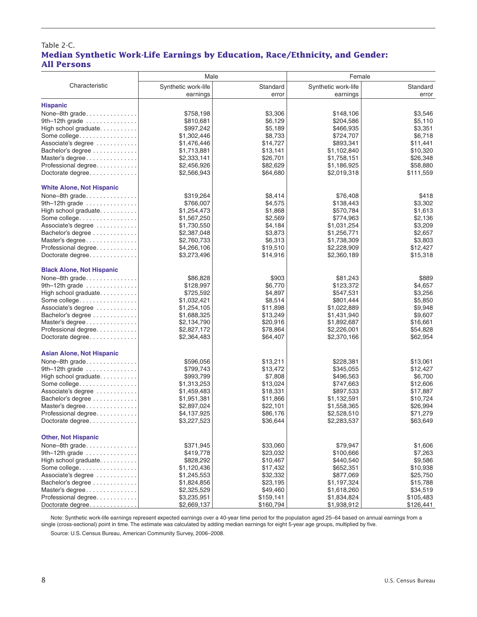#### Table 2-C. **Median Synthetic Work-Life Earnings by Education, Race/Ethnicity, and Gender: All Persons**

|                                            | Male                |           | Female              |           |  |  |
|--------------------------------------------|---------------------|-----------|---------------------|-----------|--|--|
| Characteristic                             | Synthetic work-life | Standard  | Synthetic work-life | Standard  |  |  |
|                                            | earnings            | error     | earnings            | error     |  |  |
|                                            |                     |           |                     |           |  |  |
| <b>Hispanic</b>                            |                     |           |                     |           |  |  |
|                                            | \$758,198           | \$3,306   | \$148,106           | \$3,546   |  |  |
| 9th-12th grade                             | \$810,681           | \$6,129   | \$204,586           | \$5,110   |  |  |
| High school graduate.                      | \$997,242           | \$5,189   | \$466,935           | \$3,351   |  |  |
| Some college.                              | \$1,302,446         | \$8,733   | \$724,707           | \$6,718   |  |  |
| Associate's degree                         | \$1,476,446         | \$14,727  | \$893,341           | \$11,441  |  |  |
| Bachelor's degree                          | \$1,713,881         | \$13,141  | \$1,102,840         | \$10,320  |  |  |
| Master's degree                            | \$2,333,141         | \$26,701  | \$1,758,151         | \$26,348  |  |  |
| Professional degree                        | \$2,456,926         | \$82,629  | \$1,186,925         | \$58,880  |  |  |
| Doctorate degree                           | \$2,566,943         | \$64,680  | \$2,019,318         | \$111,559 |  |  |
| <b>White Alone, Not Hispanic</b>           |                     |           |                     |           |  |  |
| None-8th grade.                            | \$319,264           | \$8,414   | \$76,408            | \$418     |  |  |
| 9th-12th grade                             | \$766,007           | \$4,575   | \$138,443           | \$3,302   |  |  |
| High school graduate                       | \$1,254,473         | \$1,868   | \$570,784           | \$1,613   |  |  |
| Some college.                              | \$1,567,250         | \$2,569   | \$774,963           | \$2,136   |  |  |
| Associate's degree                         | \$1,730,550         | \$4,184   | \$1,031,254         | \$3,209   |  |  |
| Bachelor's degree                          | \$2,387,048         | \$3,873   | \$1,256,771         | \$2,657   |  |  |
| Master's degree                            | \$2.760.733         | \$6,313   | \$1,738,309         | \$3.803   |  |  |
| Professional degree                        | \$4,266,106         | \$19,510  | \$2,228,909         | \$12,427  |  |  |
| Doctorate degree                           | \$3,273,496         | \$14,916  | \$2,360,189         | \$15,318  |  |  |
| <b>Black Alone, Not Hispanic</b>           |                     |           |                     |           |  |  |
| None-8th grade                             | \$86,828            | \$903     | \$81,243            | \$889     |  |  |
| 9th-12th grade                             | \$128,997           | \$6,770   | \$123,372           | \$4,657   |  |  |
| High school graduate.                      | \$725,592           | \$4,897   | \$547,531           | \$3,256   |  |  |
| Some college.                              | \$1,032,421         | \$8,514   | \$801,444           | \$5,850   |  |  |
| Associate's degree                         | \$1,254,105         | \$11,898  | \$1,022,889         | \$9,948   |  |  |
| Bachelor's degree                          | \$1,688,325         | \$13,249  | \$1,431,940         | \$9,607   |  |  |
| Master's degree                            | \$2,134,790         | \$20,916  | \$1,892,687         | \$16,661  |  |  |
| Professional degree                        | \$2,827,172         | \$78,864  | \$2,226,001         | \$54,828  |  |  |
| Doctorate degree                           | \$2,364,483         | \$64,407  | \$2,370,166         | \$62,954  |  |  |
|                                            |                     |           |                     |           |  |  |
| <b>Asian Alone, Not Hispanic</b>           |                     |           |                     |           |  |  |
| None-8th grade                             | \$596,056           | \$13,211  | \$228,381           | \$13,061  |  |  |
| 9th-12th grade $\dots\dots\dots\dots\dots$ | \$799,743           | \$13,472  | \$345,055           | \$12,427  |  |  |
| High school graduate                       | \$993,799           | \$7,808   | \$496,563           | \$6,700   |  |  |
| Some college.                              | \$1,313,253         | \$13,024  | \$747,663           | \$12,606  |  |  |
| Associate's degree                         | \$1,459,483         | \$18,331  | \$897,533           | \$17,887  |  |  |
| Bachelor's degree                          | \$1,951,381         | \$11,866  | \$1,132,591         | \$10,724  |  |  |
| Master's degree                            | \$2,897,024         | \$22,101  | \$1,558,365         | \$26,994  |  |  |
| Professional degree.                       | \$4,137,925         | \$86,176  | \$2,528,510         | \$71,279  |  |  |
| Doctorate degree                           | \$3,227,523         | \$36,644  | \$2,283,537         | \$63,649  |  |  |
| <b>Other, Not Hispanic</b>                 |                     |           |                     |           |  |  |
|                                            | \$371,945           | \$33,060  | \$79,947            | \$1,606   |  |  |
| 9th-12th grade                             | \$419,778           | \$23,032  | \$100,666           | \$7,263   |  |  |
| High school graduate.                      | \$828,292           | \$10,467  | \$440,540           | \$9,586   |  |  |
| Some college.                              | \$1,120,436         | \$17,432  | \$652,351           | \$10,938  |  |  |
| Associate's degree                         | \$1,245,553         | \$32,332  | \$877,069           | \$25,750  |  |  |
| Bachelor's degree                          | \$1,824,856         | \$23,195  | \$1,197,324         | \$15,788  |  |  |
| Master's degree                            | \$2,325,529         | \$49,460  | \$1,618,260         | \$34,519  |  |  |
| Professional degree                        | \$3,235,951         | \$159,141 | \$1,834,824         | \$105,483 |  |  |
| Doctorate degree                           | \$2,669,137         | \$160,794 | \$1,938,912         | \$126,441 |  |  |

Note: Synthetic work-life earnings represent expected earnings over a 40-year time period for the population aged 25–64 based on annual earnings from a single (cross-sectional) point in time. The estimate was calculated by adding median earnings for eight 5-year age groups, multiplied by five.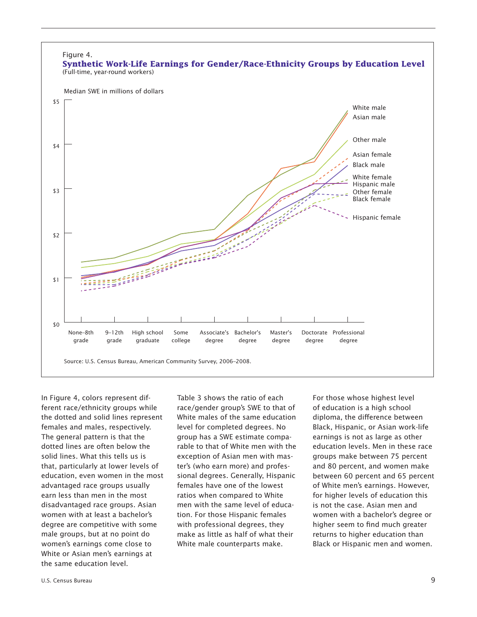

In Figure 4, colors represent different race/ethnicity groups while the dotted and solid lines represent females and males, respectively. The general pattern is that the dotted lines are often below the solid lines. What this tells us is that, particularly at lower levels of education, even women in the most advantaged race groups usually earn less than men in the most disadvantaged race groups. Asian women with at least a bachelor's degree are competitive with some male groups, but at no point do women's earnings come close to White or Asian men's earnings at the same education level.

Table 3 shows the ratio of each race/gender group's SWE to that of White males of the same education level for completed degrees. No group has a SWE estimate comparable to that of White men with the exception of Asian men with master's (who earn more) and professional degrees. Generally, Hispanic females have one of the lowest ratios when compared to White men with the same level of education. For those Hispanic females with professional degrees, they make as little as half of what their White male counterparts make.

For those whose highest level of education is a high school diploma, the difference between Black, Hispanic, or Asian work-life earnings is not as large as other education levels. Men in these race groups make between 75 percent and 80 percent, and women make between 60 percent and 65 percent of White men's earnings. However, for higher levels of education this is not the case. Asian men and women with a bachelor's degree or higher seem to find much greater returns to higher education than Black or Hispanic men and women.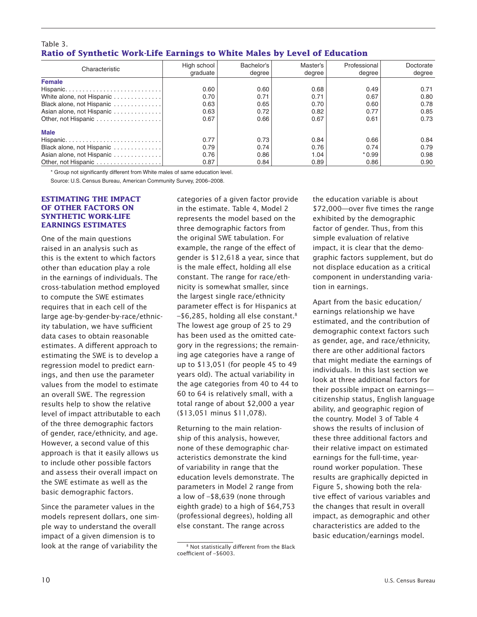#### Table 3. **Ratio of Synthetic Work-Life Earnings to White Males by Level of Education**

| Characteristic                                                      | High school<br>graduate | Bachelor's<br>dearee | Master's<br>degree | Professional<br>degree | Doctorate<br>degree |
|---------------------------------------------------------------------|-------------------------|----------------------|--------------------|------------------------|---------------------|
| <b>Female</b>                                                       |                         |                      |                    |                        |                     |
|                                                                     | 0.60                    | 0.60                 | 0.68               | 0.49                   | 0.71                |
| White alone, not Hispanic                                           | 0.70                    | 0.71                 | 0.71               | 0.67                   | 0.80                |
| Black alone, not Hispanic                                           | 0.63                    | 0.65                 | 0.70               | 0.60                   | 0.78                |
| Asian alone, not Hispanic                                           | 0.63                    | 0.72                 | 0.82               | 0.77                   | 0.85                |
| Other, not Hispanic                                                 | 0.67                    | 0.66                 | 0.67               | 0.61                   | 0.73                |
| <b>Male</b>                                                         |                         |                      |                    |                        |                     |
| $Hispanic. \ldots \ldots \ldots \ldots \ldots \ldots \ldots \ldots$ | 0.77                    | 0.73                 | 0.84               | 0.66                   | 0.84                |
| Black alone, not Hispanic                                           | 0.79                    | 0.74                 | 0.76               | 0.74                   | 0.79                |
| Asian alone, not Hispanic                                           | 0.76                    | 0.86                 | 1.04               | $*0.99$                | 0.98                |
|                                                                     | 0.87                    | 0.84                 | 0.89               | 0.86                   | 0.90                |

\* Group not significantly different from White males of same education level.

Source: U.S. Census Bureau, American Community Survey, 2006–2008.

#### **ESTIMATING THE IMPACT OF OTHER FACTORS ON SYNTHETIC WORK-LIFE EARNINGS ESTIMATES**

One of the main questions raised in an analysis such as this is the extent to which factors other than education play a role in the earnings of individuals. The cross-tabulation method employed to compute the SWE estimates requires that in each cell of the large age-by-gender-by-race/ethnicity tabulation, we have sufficient data cases to obtain reasonable estimates. A different approach to estimating the SWE is to develop a regression model to predict earnings, and then use the parameter values from the model to estimate an overall SWE. The regression results help to show the relative level of impact attributable to each of the three demographic factors of gender, race/ethnicity, and age. However, a second value of this approach is that it easily allows us to include other possible factors and assess their overall impact on the SWE estimate as well as the basic demographic factors.

Since the parameter values in the models represent dollars, one simple way to understand the overall impact of a given dimension is to look at the range of variability the

categories of a given factor provide in the estimate. Table 4, Model 2 represents the model based on the three demographic factors from the original SWE tabulation. For example, the range of the effect of gender is \$12,618 a year, since that is the male effect, holding all else constant. The range for race/ethnicity is somewhat smaller, since the largest single race/ethnicity parameter effect is for Hispanics at  $-$ \$6,285, holding all else constant.<sup>8</sup> The lowest age group of 25 to 29 has been used as the omitted category in the regressions; the remaining age categories have a range of up to \$13,051 (for people 45 to 49 years old). The actual variability in the age categories from 40 to 44 to 60 to 64 is relatively small, with a total range of about \$2,000 a year (\$13,051 minus \$11,078).

Returning to the main relationship of this analysis, however, none of these demographic characteristics demonstrate the kind of variability in range that the education levels demonstrate. The parameters in Model 2 range from a low of –\$8,639 (none through eighth grade) to a high of \$64,753 (professional degrees), holding all else constant. The range across

the education variable is about \$72,000—over five times the range exhibited by the demographic factor of gender. Thus, from this simple evaluation of relative impact, it is clear that the demographic factors supplement, but do not displace education as a critical component in understanding variation in earnings.

Apart from the basic education/ earnings relationship we have estimated, and the contribution of demographic context factors such as gender, age, and race/ethnicity, there are other additional factors that might mediate the earnings of individuals. In this last section we look at three additional factors for their possible impact on earnings citizenship status, English language ability, and geographic region of the country. Model 3 of Table 4 shows the results of inclusion of these three additional factors and their relative impact on estimated earnings for the full-time, yearround worker population. These results are graphically depicted in Figure 5, showing both the relative effect of various variables and the changes that result in overall impact, as demographic and other characteristics are added to the basic education/earnings model.

<sup>8</sup> Not statistically different from the Black coefficient of –\$6003.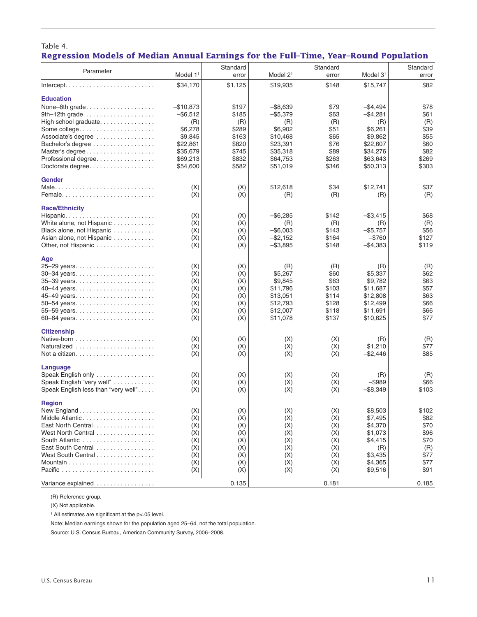| Standard<br>Standard<br>Standard<br>Parameter<br>Model 2 <sup>1</sup><br>Model $11$<br>Model $31$<br>error<br>error<br>error<br>$Intercept. \ldots \ldots \ldots \ldots \ldots \ldots \ldots$<br>\$34,170<br>\$1,125<br>\$19,935<br>\$148<br>\$15,747<br>\$82<br><b>Education</b><br>$-$10,873$<br>\$197<br>$-$ \$8,639<br>\$79<br>$-$4,494$<br>\$78<br>None-8th grade<br>9th-12th grade<br>$-$ \$6,512<br>\$185<br>$-$ \$5,379<br>\$63<br>$-$ \$4,281<br>\$61<br>(R)<br>(R)<br>High school graduate<br>(R)<br>(R)<br>(R)<br>(R)<br>\$6,278<br>\$289<br>\$6,902<br>\$51<br>\$6,261<br>\$39<br>Some college<br>\$163<br>Associate's degree<br>\$9,845<br>\$10,468<br>\$65<br>\$9,862<br>\$55<br>\$820<br>\$23,391<br>\$76<br>\$22,607<br>\$60<br>Bachelor's degree<br>\$22.861<br>\$89<br>\$82<br>\$35,679<br>\$745<br>\$35,318<br>\$34,276<br>Master's degree<br>\$269<br>\$69,213<br>\$832<br>\$64,753<br>\$263<br>\$63,643<br>Professional degree<br>\$582<br>\$51,019<br>\$346<br>\$303<br>Doctorate degree<br>\$54,600<br>\$50,313<br><b>Gender</b><br>\$12,618<br>\$34<br>\$12,741<br>\$37<br>(X)<br>(X)<br>(X)<br>(X)<br>(R)<br>(R)<br>(R)<br>(R)<br><b>Race/Ethnicity</b><br>$-$ \$6,285<br>\$142<br>$-$ \$3,415<br>\$68<br>Hispanic<br>(X)<br>(X)<br>White alone, not Hispanic<br>(X)<br>(X)<br>(R)<br>(R)<br>(R)<br>(R)<br>Black alone, not Hispanic<br>(X)<br>(X)<br>$-$ \$6,003<br>\$143<br>\$56<br>$-$ \$5.757<br>(X)<br>(X)<br>$-$ \$2,152<br>\$164<br>$-$ \$760<br>\$127<br>Asian alone, not Hispanic<br>$-$ \$3,895<br>\$119<br>Other, not Hispanic<br>(X)<br>(X)<br>\$148<br>$-$4,383$<br>Age<br>25-29 years<br>(X)<br>(X)<br>(R)<br>(R)<br>(R)<br>(R)<br>(X)<br>\$62<br>(X)<br>\$5,267<br>\$60<br>\$5,337<br>30–34 years<br>(X)<br>(X)<br>\$9,845<br>\$63<br>\$9,782<br>\$63<br>35-39 years<br>(X)<br>\$11,796<br>\$103<br>\$11,687<br>\$57<br>40-44 years<br>(X)<br>\$63<br>(X)<br>(X)<br>\$13,051<br>\$114<br>\$12,808<br>\$66<br>(X)<br>(X)<br>\$12,793<br>\$128<br>\$12,499<br>50-54 years<br>\$12,007<br>\$118<br>\$66<br>55-59 years<br>(X)<br>(X)<br>\$11,691<br>(X)<br>(X)<br>\$137<br>\$77<br>60-64 years<br>\$11,078<br>\$10,625<br><b>Citizenship</b><br>(X)<br>(X)<br>(X)<br>(X)<br>(R)<br>(R)<br>Naturalized<br>(X)<br>(X)<br>(X)<br>(X)<br>\$1,210<br>\$77<br>(X)<br>(X)<br>(X)<br>\$85<br>(X)<br>$-$ \$2,446<br>Language<br>Speak English only<br>(X)<br>(X)<br>(X)<br>(X)<br>(R)<br>(R)<br>Speak English "very well"<br>(X)<br>(X)<br>(X)<br>(X)<br>$-$ \$989<br>\$66<br>(X)<br>Speak English less than "very well".<br>(X)<br>(X)<br>$-$ \$8,349<br>\$103<br>(X)<br><b>Region</b><br>(X)<br>(X)<br>\$8,503<br>\$102<br>(X)<br>(X)<br>Middle Atlantic<br>(X)<br>\$7,495<br>\$82<br>(X)<br>(X)<br>(X)<br>East North Central.<br>(X)<br>(X)<br>(X)<br>(X)<br>\$4,370<br>\$70<br>West North Central<br>(X)<br>(X)<br>(X)<br>\$1,073<br>\$96<br>(X)<br>\$70<br>South Atlantic<br>(X)<br>(X)<br>\$4,415<br>(X)<br>(X)<br>East South Central<br>(X)<br>(X)<br>(X)<br>(X)<br>(R)<br>(R)<br>West South Central<br>(X)<br>(X)<br>(X)<br>\$77<br>(X)<br>\$3,435<br>(X)<br>(X)<br>(X)<br>(X)<br>\$4,365<br>\$77<br>(X)<br>(X)<br>(X)<br>(X)<br>\$9,516<br>\$91<br>0.135<br>Variance explained<br>0.181<br>0.185 | Regression Models of Median Annual Earnings for the Full–Time, Year–Round Population |  |  |  |
|---------------------------------------------------------------------------------------------------------------------------------------------------------------------------------------------------------------------------------------------------------------------------------------------------------------------------------------------------------------------------------------------------------------------------------------------------------------------------------------------------------------------------------------------------------------------------------------------------------------------------------------------------------------------------------------------------------------------------------------------------------------------------------------------------------------------------------------------------------------------------------------------------------------------------------------------------------------------------------------------------------------------------------------------------------------------------------------------------------------------------------------------------------------------------------------------------------------------------------------------------------------------------------------------------------------------------------------------------------------------------------------------------------------------------------------------------------------------------------------------------------------------------------------------------------------------------------------------------------------------------------------------------------------------------------------------------------------------------------------------------------------------------------------------------------------------------------------------------------------------------------------------------------------------------------------------------------------------------------------------------------------------------------------------------------------------------------------------------------------------------------------------------------------------------------------------------------------------------------------------------------------------------------------------------------------------------------------------------------------------------------------------------------------------------------------------------------------------------------------------------------------------------------------------------------------------------------------------------------------------------------------------------------------------------------------------------------------------------------------------------------------------------------------------------------------------------------------------------------------------------------------------------------------------------------------------------------------------------------------------------------------------------------------------------------------------------------------------------------------------------------------------------------------------------------------------------------------------------------------|--------------------------------------------------------------------------------------|--|--|--|
|                                                                                                                                                                                                                                                                                                                                                                                                                                                                                                                                                                                                                                                                                                                                                                                                                                                                                                                                                                                                                                                                                                                                                                                                                                                                                                                                                                                                                                                                                                                                                                                                                                                                                                                                                                                                                                                                                                                                                                                                                                                                                                                                                                                                                                                                                                                                                                                                                                                                                                                                                                                                                                                                                                                                                                                                                                                                                                                                                                                                                                                                                                                                                                                                                                       |                                                                                      |  |  |  |
|                                                                                                                                                                                                                                                                                                                                                                                                                                                                                                                                                                                                                                                                                                                                                                                                                                                                                                                                                                                                                                                                                                                                                                                                                                                                                                                                                                                                                                                                                                                                                                                                                                                                                                                                                                                                                                                                                                                                                                                                                                                                                                                                                                                                                                                                                                                                                                                                                                                                                                                                                                                                                                                                                                                                                                                                                                                                                                                                                                                                                                                                                                                                                                                                                                       |                                                                                      |  |  |  |
|                                                                                                                                                                                                                                                                                                                                                                                                                                                                                                                                                                                                                                                                                                                                                                                                                                                                                                                                                                                                                                                                                                                                                                                                                                                                                                                                                                                                                                                                                                                                                                                                                                                                                                                                                                                                                                                                                                                                                                                                                                                                                                                                                                                                                                                                                                                                                                                                                                                                                                                                                                                                                                                                                                                                                                                                                                                                                                                                                                                                                                                                                                                                                                                                                                       |                                                                                      |  |  |  |
|                                                                                                                                                                                                                                                                                                                                                                                                                                                                                                                                                                                                                                                                                                                                                                                                                                                                                                                                                                                                                                                                                                                                                                                                                                                                                                                                                                                                                                                                                                                                                                                                                                                                                                                                                                                                                                                                                                                                                                                                                                                                                                                                                                                                                                                                                                                                                                                                                                                                                                                                                                                                                                                                                                                                                                                                                                                                                                                                                                                                                                                                                                                                                                                                                                       |                                                                                      |  |  |  |
|                                                                                                                                                                                                                                                                                                                                                                                                                                                                                                                                                                                                                                                                                                                                                                                                                                                                                                                                                                                                                                                                                                                                                                                                                                                                                                                                                                                                                                                                                                                                                                                                                                                                                                                                                                                                                                                                                                                                                                                                                                                                                                                                                                                                                                                                                                                                                                                                                                                                                                                                                                                                                                                                                                                                                                                                                                                                                                                                                                                                                                                                                                                                                                                                                                       |                                                                                      |  |  |  |
|                                                                                                                                                                                                                                                                                                                                                                                                                                                                                                                                                                                                                                                                                                                                                                                                                                                                                                                                                                                                                                                                                                                                                                                                                                                                                                                                                                                                                                                                                                                                                                                                                                                                                                                                                                                                                                                                                                                                                                                                                                                                                                                                                                                                                                                                                                                                                                                                                                                                                                                                                                                                                                                                                                                                                                                                                                                                                                                                                                                                                                                                                                                                                                                                                                       |                                                                                      |  |  |  |
|                                                                                                                                                                                                                                                                                                                                                                                                                                                                                                                                                                                                                                                                                                                                                                                                                                                                                                                                                                                                                                                                                                                                                                                                                                                                                                                                                                                                                                                                                                                                                                                                                                                                                                                                                                                                                                                                                                                                                                                                                                                                                                                                                                                                                                                                                                                                                                                                                                                                                                                                                                                                                                                                                                                                                                                                                                                                                                                                                                                                                                                                                                                                                                                                                                       |                                                                                      |  |  |  |
|                                                                                                                                                                                                                                                                                                                                                                                                                                                                                                                                                                                                                                                                                                                                                                                                                                                                                                                                                                                                                                                                                                                                                                                                                                                                                                                                                                                                                                                                                                                                                                                                                                                                                                                                                                                                                                                                                                                                                                                                                                                                                                                                                                                                                                                                                                                                                                                                                                                                                                                                                                                                                                                                                                                                                                                                                                                                                                                                                                                                                                                                                                                                                                                                                                       |                                                                                      |  |  |  |
|                                                                                                                                                                                                                                                                                                                                                                                                                                                                                                                                                                                                                                                                                                                                                                                                                                                                                                                                                                                                                                                                                                                                                                                                                                                                                                                                                                                                                                                                                                                                                                                                                                                                                                                                                                                                                                                                                                                                                                                                                                                                                                                                                                                                                                                                                                                                                                                                                                                                                                                                                                                                                                                                                                                                                                                                                                                                                                                                                                                                                                                                                                                                                                                                                                       |                                                                                      |  |  |  |
|                                                                                                                                                                                                                                                                                                                                                                                                                                                                                                                                                                                                                                                                                                                                                                                                                                                                                                                                                                                                                                                                                                                                                                                                                                                                                                                                                                                                                                                                                                                                                                                                                                                                                                                                                                                                                                                                                                                                                                                                                                                                                                                                                                                                                                                                                                                                                                                                                                                                                                                                                                                                                                                                                                                                                                                                                                                                                                                                                                                                                                                                                                                                                                                                                                       |                                                                                      |  |  |  |
|                                                                                                                                                                                                                                                                                                                                                                                                                                                                                                                                                                                                                                                                                                                                                                                                                                                                                                                                                                                                                                                                                                                                                                                                                                                                                                                                                                                                                                                                                                                                                                                                                                                                                                                                                                                                                                                                                                                                                                                                                                                                                                                                                                                                                                                                                                                                                                                                                                                                                                                                                                                                                                                                                                                                                                                                                                                                                                                                                                                                                                                                                                                                                                                                                                       |                                                                                      |  |  |  |
|                                                                                                                                                                                                                                                                                                                                                                                                                                                                                                                                                                                                                                                                                                                                                                                                                                                                                                                                                                                                                                                                                                                                                                                                                                                                                                                                                                                                                                                                                                                                                                                                                                                                                                                                                                                                                                                                                                                                                                                                                                                                                                                                                                                                                                                                                                                                                                                                                                                                                                                                                                                                                                                                                                                                                                                                                                                                                                                                                                                                                                                                                                                                                                                                                                       |                                                                                      |  |  |  |
|                                                                                                                                                                                                                                                                                                                                                                                                                                                                                                                                                                                                                                                                                                                                                                                                                                                                                                                                                                                                                                                                                                                                                                                                                                                                                                                                                                                                                                                                                                                                                                                                                                                                                                                                                                                                                                                                                                                                                                                                                                                                                                                                                                                                                                                                                                                                                                                                                                                                                                                                                                                                                                                                                                                                                                                                                                                                                                                                                                                                                                                                                                                                                                                                                                       |                                                                                      |  |  |  |
|                                                                                                                                                                                                                                                                                                                                                                                                                                                                                                                                                                                                                                                                                                                                                                                                                                                                                                                                                                                                                                                                                                                                                                                                                                                                                                                                                                                                                                                                                                                                                                                                                                                                                                                                                                                                                                                                                                                                                                                                                                                                                                                                                                                                                                                                                                                                                                                                                                                                                                                                                                                                                                                                                                                                                                                                                                                                                                                                                                                                                                                                                                                                                                                                                                       |                                                                                      |  |  |  |
|                                                                                                                                                                                                                                                                                                                                                                                                                                                                                                                                                                                                                                                                                                                                                                                                                                                                                                                                                                                                                                                                                                                                                                                                                                                                                                                                                                                                                                                                                                                                                                                                                                                                                                                                                                                                                                                                                                                                                                                                                                                                                                                                                                                                                                                                                                                                                                                                                                                                                                                                                                                                                                                                                                                                                                                                                                                                                                                                                                                                                                                                                                                                                                                                                                       |                                                                                      |  |  |  |
|                                                                                                                                                                                                                                                                                                                                                                                                                                                                                                                                                                                                                                                                                                                                                                                                                                                                                                                                                                                                                                                                                                                                                                                                                                                                                                                                                                                                                                                                                                                                                                                                                                                                                                                                                                                                                                                                                                                                                                                                                                                                                                                                                                                                                                                                                                                                                                                                                                                                                                                                                                                                                                                                                                                                                                                                                                                                                                                                                                                                                                                                                                                                                                                                                                       |                                                                                      |  |  |  |
|                                                                                                                                                                                                                                                                                                                                                                                                                                                                                                                                                                                                                                                                                                                                                                                                                                                                                                                                                                                                                                                                                                                                                                                                                                                                                                                                                                                                                                                                                                                                                                                                                                                                                                                                                                                                                                                                                                                                                                                                                                                                                                                                                                                                                                                                                                                                                                                                                                                                                                                                                                                                                                                                                                                                                                                                                                                                                                                                                                                                                                                                                                                                                                                                                                       |                                                                                      |  |  |  |
|                                                                                                                                                                                                                                                                                                                                                                                                                                                                                                                                                                                                                                                                                                                                                                                                                                                                                                                                                                                                                                                                                                                                                                                                                                                                                                                                                                                                                                                                                                                                                                                                                                                                                                                                                                                                                                                                                                                                                                                                                                                                                                                                                                                                                                                                                                                                                                                                                                                                                                                                                                                                                                                                                                                                                                                                                                                                                                                                                                                                                                                                                                                                                                                                                                       |                                                                                      |  |  |  |
|                                                                                                                                                                                                                                                                                                                                                                                                                                                                                                                                                                                                                                                                                                                                                                                                                                                                                                                                                                                                                                                                                                                                                                                                                                                                                                                                                                                                                                                                                                                                                                                                                                                                                                                                                                                                                                                                                                                                                                                                                                                                                                                                                                                                                                                                                                                                                                                                                                                                                                                                                                                                                                                                                                                                                                                                                                                                                                                                                                                                                                                                                                                                                                                                                                       |                                                                                      |  |  |  |
|                                                                                                                                                                                                                                                                                                                                                                                                                                                                                                                                                                                                                                                                                                                                                                                                                                                                                                                                                                                                                                                                                                                                                                                                                                                                                                                                                                                                                                                                                                                                                                                                                                                                                                                                                                                                                                                                                                                                                                                                                                                                                                                                                                                                                                                                                                                                                                                                                                                                                                                                                                                                                                                                                                                                                                                                                                                                                                                                                                                                                                                                                                                                                                                                                                       |                                                                                      |  |  |  |
|                                                                                                                                                                                                                                                                                                                                                                                                                                                                                                                                                                                                                                                                                                                                                                                                                                                                                                                                                                                                                                                                                                                                                                                                                                                                                                                                                                                                                                                                                                                                                                                                                                                                                                                                                                                                                                                                                                                                                                                                                                                                                                                                                                                                                                                                                                                                                                                                                                                                                                                                                                                                                                                                                                                                                                                                                                                                                                                                                                                                                                                                                                                                                                                                                                       |                                                                                      |  |  |  |
|                                                                                                                                                                                                                                                                                                                                                                                                                                                                                                                                                                                                                                                                                                                                                                                                                                                                                                                                                                                                                                                                                                                                                                                                                                                                                                                                                                                                                                                                                                                                                                                                                                                                                                                                                                                                                                                                                                                                                                                                                                                                                                                                                                                                                                                                                                                                                                                                                                                                                                                                                                                                                                                                                                                                                                                                                                                                                                                                                                                                                                                                                                                                                                                                                                       |                                                                                      |  |  |  |
|                                                                                                                                                                                                                                                                                                                                                                                                                                                                                                                                                                                                                                                                                                                                                                                                                                                                                                                                                                                                                                                                                                                                                                                                                                                                                                                                                                                                                                                                                                                                                                                                                                                                                                                                                                                                                                                                                                                                                                                                                                                                                                                                                                                                                                                                                                                                                                                                                                                                                                                                                                                                                                                                                                                                                                                                                                                                                                                                                                                                                                                                                                                                                                                                                                       |                                                                                      |  |  |  |
|                                                                                                                                                                                                                                                                                                                                                                                                                                                                                                                                                                                                                                                                                                                                                                                                                                                                                                                                                                                                                                                                                                                                                                                                                                                                                                                                                                                                                                                                                                                                                                                                                                                                                                                                                                                                                                                                                                                                                                                                                                                                                                                                                                                                                                                                                                                                                                                                                                                                                                                                                                                                                                                                                                                                                                                                                                                                                                                                                                                                                                                                                                                                                                                                                                       |                                                                                      |  |  |  |
|                                                                                                                                                                                                                                                                                                                                                                                                                                                                                                                                                                                                                                                                                                                                                                                                                                                                                                                                                                                                                                                                                                                                                                                                                                                                                                                                                                                                                                                                                                                                                                                                                                                                                                                                                                                                                                                                                                                                                                                                                                                                                                                                                                                                                                                                                                                                                                                                                                                                                                                                                                                                                                                                                                                                                                                                                                                                                                                                                                                                                                                                                                                                                                                                                                       |                                                                                      |  |  |  |
|                                                                                                                                                                                                                                                                                                                                                                                                                                                                                                                                                                                                                                                                                                                                                                                                                                                                                                                                                                                                                                                                                                                                                                                                                                                                                                                                                                                                                                                                                                                                                                                                                                                                                                                                                                                                                                                                                                                                                                                                                                                                                                                                                                                                                                                                                                                                                                                                                                                                                                                                                                                                                                                                                                                                                                                                                                                                                                                                                                                                                                                                                                                                                                                                                                       |                                                                                      |  |  |  |
|                                                                                                                                                                                                                                                                                                                                                                                                                                                                                                                                                                                                                                                                                                                                                                                                                                                                                                                                                                                                                                                                                                                                                                                                                                                                                                                                                                                                                                                                                                                                                                                                                                                                                                                                                                                                                                                                                                                                                                                                                                                                                                                                                                                                                                                                                                                                                                                                                                                                                                                                                                                                                                                                                                                                                                                                                                                                                                                                                                                                                                                                                                                                                                                                                                       |                                                                                      |  |  |  |
|                                                                                                                                                                                                                                                                                                                                                                                                                                                                                                                                                                                                                                                                                                                                                                                                                                                                                                                                                                                                                                                                                                                                                                                                                                                                                                                                                                                                                                                                                                                                                                                                                                                                                                                                                                                                                                                                                                                                                                                                                                                                                                                                                                                                                                                                                                                                                                                                                                                                                                                                                                                                                                                                                                                                                                                                                                                                                                                                                                                                                                                                                                                                                                                                                                       |                                                                                      |  |  |  |
|                                                                                                                                                                                                                                                                                                                                                                                                                                                                                                                                                                                                                                                                                                                                                                                                                                                                                                                                                                                                                                                                                                                                                                                                                                                                                                                                                                                                                                                                                                                                                                                                                                                                                                                                                                                                                                                                                                                                                                                                                                                                                                                                                                                                                                                                                                                                                                                                                                                                                                                                                                                                                                                                                                                                                                                                                                                                                                                                                                                                                                                                                                                                                                                                                                       |                                                                                      |  |  |  |
|                                                                                                                                                                                                                                                                                                                                                                                                                                                                                                                                                                                                                                                                                                                                                                                                                                                                                                                                                                                                                                                                                                                                                                                                                                                                                                                                                                                                                                                                                                                                                                                                                                                                                                                                                                                                                                                                                                                                                                                                                                                                                                                                                                                                                                                                                                                                                                                                                                                                                                                                                                                                                                                                                                                                                                                                                                                                                                                                                                                                                                                                                                                                                                                                                                       |                                                                                      |  |  |  |
|                                                                                                                                                                                                                                                                                                                                                                                                                                                                                                                                                                                                                                                                                                                                                                                                                                                                                                                                                                                                                                                                                                                                                                                                                                                                                                                                                                                                                                                                                                                                                                                                                                                                                                                                                                                                                                                                                                                                                                                                                                                                                                                                                                                                                                                                                                                                                                                                                                                                                                                                                                                                                                                                                                                                                                                                                                                                                                                                                                                                                                                                                                                                                                                                                                       |                                                                                      |  |  |  |
|                                                                                                                                                                                                                                                                                                                                                                                                                                                                                                                                                                                                                                                                                                                                                                                                                                                                                                                                                                                                                                                                                                                                                                                                                                                                                                                                                                                                                                                                                                                                                                                                                                                                                                                                                                                                                                                                                                                                                                                                                                                                                                                                                                                                                                                                                                                                                                                                                                                                                                                                                                                                                                                                                                                                                                                                                                                                                                                                                                                                                                                                                                                                                                                                                                       |                                                                                      |  |  |  |
|                                                                                                                                                                                                                                                                                                                                                                                                                                                                                                                                                                                                                                                                                                                                                                                                                                                                                                                                                                                                                                                                                                                                                                                                                                                                                                                                                                                                                                                                                                                                                                                                                                                                                                                                                                                                                                                                                                                                                                                                                                                                                                                                                                                                                                                                                                                                                                                                                                                                                                                                                                                                                                                                                                                                                                                                                                                                                                                                                                                                                                                                                                                                                                                                                                       |                                                                                      |  |  |  |
|                                                                                                                                                                                                                                                                                                                                                                                                                                                                                                                                                                                                                                                                                                                                                                                                                                                                                                                                                                                                                                                                                                                                                                                                                                                                                                                                                                                                                                                                                                                                                                                                                                                                                                                                                                                                                                                                                                                                                                                                                                                                                                                                                                                                                                                                                                                                                                                                                                                                                                                                                                                                                                                                                                                                                                                                                                                                                                                                                                                                                                                                                                                                                                                                                                       |                                                                                      |  |  |  |
|                                                                                                                                                                                                                                                                                                                                                                                                                                                                                                                                                                                                                                                                                                                                                                                                                                                                                                                                                                                                                                                                                                                                                                                                                                                                                                                                                                                                                                                                                                                                                                                                                                                                                                                                                                                                                                                                                                                                                                                                                                                                                                                                                                                                                                                                                                                                                                                                                                                                                                                                                                                                                                                                                                                                                                                                                                                                                                                                                                                                                                                                                                                                                                                                                                       |                                                                                      |  |  |  |
|                                                                                                                                                                                                                                                                                                                                                                                                                                                                                                                                                                                                                                                                                                                                                                                                                                                                                                                                                                                                                                                                                                                                                                                                                                                                                                                                                                                                                                                                                                                                                                                                                                                                                                                                                                                                                                                                                                                                                                                                                                                                                                                                                                                                                                                                                                                                                                                                                                                                                                                                                                                                                                                                                                                                                                                                                                                                                                                                                                                                                                                                                                                                                                                                                                       |                                                                                      |  |  |  |
|                                                                                                                                                                                                                                                                                                                                                                                                                                                                                                                                                                                                                                                                                                                                                                                                                                                                                                                                                                                                                                                                                                                                                                                                                                                                                                                                                                                                                                                                                                                                                                                                                                                                                                                                                                                                                                                                                                                                                                                                                                                                                                                                                                                                                                                                                                                                                                                                                                                                                                                                                                                                                                                                                                                                                                                                                                                                                                                                                                                                                                                                                                                                                                                                                                       |                                                                                      |  |  |  |
|                                                                                                                                                                                                                                                                                                                                                                                                                                                                                                                                                                                                                                                                                                                                                                                                                                                                                                                                                                                                                                                                                                                                                                                                                                                                                                                                                                                                                                                                                                                                                                                                                                                                                                                                                                                                                                                                                                                                                                                                                                                                                                                                                                                                                                                                                                                                                                                                                                                                                                                                                                                                                                                                                                                                                                                                                                                                                                                                                                                                                                                                                                                                                                                                                                       |                                                                                      |  |  |  |
|                                                                                                                                                                                                                                                                                                                                                                                                                                                                                                                                                                                                                                                                                                                                                                                                                                                                                                                                                                                                                                                                                                                                                                                                                                                                                                                                                                                                                                                                                                                                                                                                                                                                                                                                                                                                                                                                                                                                                                                                                                                                                                                                                                                                                                                                                                                                                                                                                                                                                                                                                                                                                                                                                                                                                                                                                                                                                                                                                                                                                                                                                                                                                                                                                                       |                                                                                      |  |  |  |
|                                                                                                                                                                                                                                                                                                                                                                                                                                                                                                                                                                                                                                                                                                                                                                                                                                                                                                                                                                                                                                                                                                                                                                                                                                                                                                                                                                                                                                                                                                                                                                                                                                                                                                                                                                                                                                                                                                                                                                                                                                                                                                                                                                                                                                                                                                                                                                                                                                                                                                                                                                                                                                                                                                                                                                                                                                                                                                                                                                                                                                                                                                                                                                                                                                       |                                                                                      |  |  |  |
|                                                                                                                                                                                                                                                                                                                                                                                                                                                                                                                                                                                                                                                                                                                                                                                                                                                                                                                                                                                                                                                                                                                                                                                                                                                                                                                                                                                                                                                                                                                                                                                                                                                                                                                                                                                                                                                                                                                                                                                                                                                                                                                                                                                                                                                                                                                                                                                                                                                                                                                                                                                                                                                                                                                                                                                                                                                                                                                                                                                                                                                                                                                                                                                                                                       |                                                                                      |  |  |  |
|                                                                                                                                                                                                                                                                                                                                                                                                                                                                                                                                                                                                                                                                                                                                                                                                                                                                                                                                                                                                                                                                                                                                                                                                                                                                                                                                                                                                                                                                                                                                                                                                                                                                                                                                                                                                                                                                                                                                                                                                                                                                                                                                                                                                                                                                                                                                                                                                                                                                                                                                                                                                                                                                                                                                                                                                                                                                                                                                                                                                                                                                                                                                                                                                                                       |                                                                                      |  |  |  |
|                                                                                                                                                                                                                                                                                                                                                                                                                                                                                                                                                                                                                                                                                                                                                                                                                                                                                                                                                                                                                                                                                                                                                                                                                                                                                                                                                                                                                                                                                                                                                                                                                                                                                                                                                                                                                                                                                                                                                                                                                                                                                                                                                                                                                                                                                                                                                                                                                                                                                                                                                                                                                                                                                                                                                                                                                                                                                                                                                                                                                                                                                                                                                                                                                                       |                                                                                      |  |  |  |
|                                                                                                                                                                                                                                                                                                                                                                                                                                                                                                                                                                                                                                                                                                                                                                                                                                                                                                                                                                                                                                                                                                                                                                                                                                                                                                                                                                                                                                                                                                                                                                                                                                                                                                                                                                                                                                                                                                                                                                                                                                                                                                                                                                                                                                                                                                                                                                                                                                                                                                                                                                                                                                                                                                                                                                                                                                                                                                                                                                                                                                                                                                                                                                                                                                       |                                                                                      |  |  |  |
|                                                                                                                                                                                                                                                                                                                                                                                                                                                                                                                                                                                                                                                                                                                                                                                                                                                                                                                                                                                                                                                                                                                                                                                                                                                                                                                                                                                                                                                                                                                                                                                                                                                                                                                                                                                                                                                                                                                                                                                                                                                                                                                                                                                                                                                                                                                                                                                                                                                                                                                                                                                                                                                                                                                                                                                                                                                                                                                                                                                                                                                                                                                                                                                                                                       |                                                                                      |  |  |  |
|                                                                                                                                                                                                                                                                                                                                                                                                                                                                                                                                                                                                                                                                                                                                                                                                                                                                                                                                                                                                                                                                                                                                                                                                                                                                                                                                                                                                                                                                                                                                                                                                                                                                                                                                                                                                                                                                                                                                                                                                                                                                                                                                                                                                                                                                                                                                                                                                                                                                                                                                                                                                                                                                                                                                                                                                                                                                                                                                                                                                                                                                                                                                                                                                                                       |                                                                                      |  |  |  |
|                                                                                                                                                                                                                                                                                                                                                                                                                                                                                                                                                                                                                                                                                                                                                                                                                                                                                                                                                                                                                                                                                                                                                                                                                                                                                                                                                                                                                                                                                                                                                                                                                                                                                                                                                                                                                                                                                                                                                                                                                                                                                                                                                                                                                                                                                                                                                                                                                                                                                                                                                                                                                                                                                                                                                                                                                                                                                                                                                                                                                                                                                                                                                                                                                                       |                                                                                      |  |  |  |

## Table 4.

(R) Reference group.

(X) Not applicable.

1 All estimates are significant at the p<.05 level.

Note: Median earnings shown for the population aged 25–64, not the total population.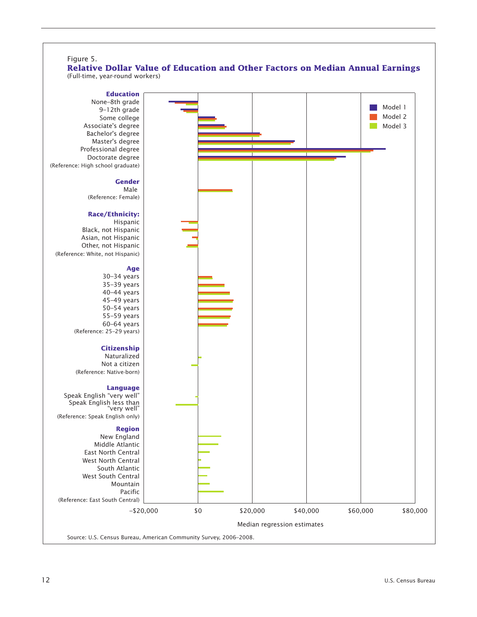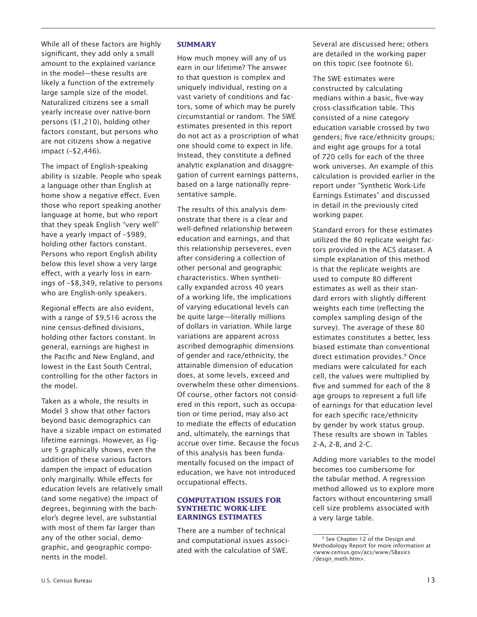While all of these factors are highly significant, they add only a small amount to the explained variance in the model—these results are likely a function of the extremely large sample size of the model. Naturalized citizens see a small yearly increase over native-born persons (\$1,210), holding other factors constant, but persons who are not citizens show a negative impact (–\$2,446).

The impact of English-speaking ability is sizable. People who speak a language other than English at home show a negative effect. Even those who report speaking another language at home, but who report that they speak English "very well" have a yearly impact of –\$989, holding other factors constant. Persons who report English ability below this level show a very large effect, with a yearly loss in earnings of –\$8,349, relative to persons who are English-only speakers.

Regional effects are also evident, with a range of \$9,516 across the nine census-defined divisions, holding other factors constant. In general, earnings are highest in the Pacific and New England, and lowest in the East South Central, controlling for the other factors in the model.

Taken as a whole, the results in Model 3 show that other factors beyond basic demographics can have a sizable impact on estimated lifetime earnings. However, as Figure 5 graphically shows, even the addition of these various factors dampen the impact of education only marginally. While effects for education levels are relatively small (and some negative) the impact of degrees, beginning with the bachelor's degree level, are substantial with most of them far larger than any of the other social, demographic, and geographic components in the model.

#### **SUMMARY**

How much money will any of us earn in our lifetime? The answer to that question is complex and uniquely individual, resting on a vast variety of conditions and factors, some of which may be purely circumstantial or random. The SWE estimates presented in this report do not act as a proscription of what one should come to expect in life. Instead, they constitute a defined analytic explanation and disaggregation of current earnings patterns, based on a large nationally representative sample.

The results of this analysis demonstrate that there is a clear and well-defined relationship between education and earnings, and that this relationship perseveres, even after considering a collection of other personal and geographic characteristics. When synthetically expanded across 40 years of a working life, the implications of varying educational levels can be quite large—literally millions of dollars in variation. While large variations are apparent across ascribed demographic dimensions of gender and race/ethnicity, the attainable dimension of education does, at some levels, exceed and overwhelm these other dimensions. Of course, other factors not considered in this report, such as occupation or time period, may also act to mediate the effects of education and, ultimately, the earnings that accrue over time. Because the focus of this analysis has been fundamentally focused on the impact of education, we have not introduced occupational effects.

#### **COMPUTATION ISSUES FOR SYNTHETIC WORK-LIFE EARNINGS ESTIMATES**

There are a number of technical and computational issues associated with the calculation of SWE.

Several are discussed here; others are detailed in the working paper on this topic (see footnote 6).

The SWE estimates were constructed by calculating medians within a basic, five-way cross-classification table. This consisted of a nine category education variable crossed by two genders; five race/ethnicity groups; and eight age groups for a total of 720 cells for each of the three work universes. An example of this calculation is provided earlier in the report under "Synthetic Work-Life Earnings Estimates" and discussed in detail in the previously cited working paper.

Standard errors for these estimates utilized the 80 replicate weight factors provided in the ACS dataset. A simple explanation of this method is that the replicate weights are used to compute 80 different estimates as well as their standard errors with slightly different weights each time (reflecting the complex sampling design of the survey). The average of these 80 estimates constitutes a better, less biased estimate than conventional direct estimation provides.<sup>9</sup> Once medians were calculated for each cell, the values were multiplied by five and summed for each of the 8 age groups to represent a full life of earnings for that education level for each specific race/ethnicity by gender by work status group. These results are shown in Tables 2-A, 2-B, and 2-C.

Adding more variables to the model becomes too cumbersome for the tabular method. A regression method allowed us to explore more factors without encountering small cell size problems associated with a very large table.

<sup>&</sup>lt;sup>9</sup> See Chapter 12 of the Design and Methodology Report for more information at <www.census.gov/acs/www/SBasics /desgn\_meth.htm>.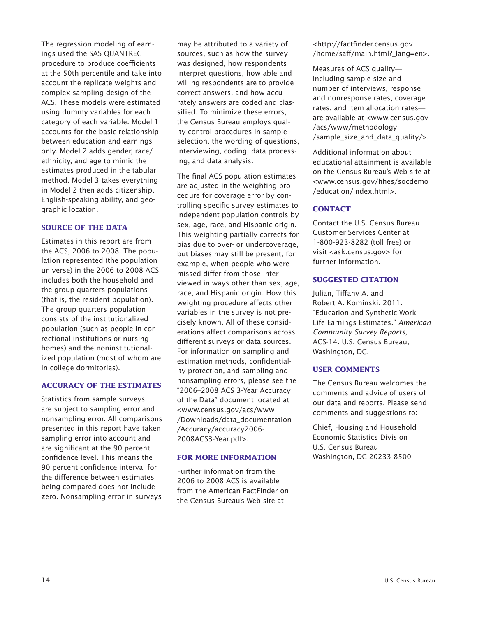The regression modeling of earnings used the SAS QUANTREG procedure to produce coefficients at the 50th percentile and take into account the replicate weights and complex sampling design of the ACS. These models were estimated using dummy variables for each category of each variable. Model 1 accounts for the basic relationship between education and earnings only. Model 2 adds gender, race/ ethnicity, and age to mimic the estimates produced in the tabular method. Model 3 takes everything in Model 2 then adds citizenship, English-speaking ability, and geographic location.

#### **SOURCE OF THE DATA**

Estimates in this report are from the ACS, 2006 to 2008. The population represented (the population universe) in the 2006 to 2008 ACS includes both the household and the group quarters populations (that is, the resident population). The group quarters population consists of the institutionalized population (such as people in correctional institutions or nursing homes) and the noninstitutionalized population (most of whom are in college dormitories).

#### **ACCURACY OF THE ESTIMATES**

Statistics from sample surveys are subject to sampling error and nonsampling error. All comparisons presented in this report have taken sampling error into account and are significant at the 90 percent confidence level. This means the 90 percent confidence interval for the difference between estimates being compared does not include zero. Nonsampling error in surveys

may be attributed to a variety of sources, such as how the survey was designed, how respondents interpret questions, how able and willing respondents are to provide correct answers, and how accurately answers are coded and classified. To minimize these errors, the Census Bureau employs quality control procedures in sample selection, the wording of questions, interviewing, coding, data processing, and data analysis.

The final ACS population estimates are adjusted in the weighting procedure for coverage error by controlling specific survey estimates to independent population controls by sex, age, race, and Hispanic origin. This weighting partially corrects for bias due to over- or undercoverage, but biases may still be present, for example, when people who were missed differ from those interviewed in ways other than sex, age, race, and Hispanic origin. How this weighting procedure affects other variables in the survey is not precisely known. All of these considerations affect comparisons across different surveys or data sources. For information on sampling and estimation methods, confidentiality protection, and sampling and nonsampling errors, please see the "2006–2008 ACS 3-Year Accuracy of the Data" document located at <www.census.gov/acs/www /Downloads/data\_documentation /Accuracy/accuracy2006- 2008ACS3-Year.pdf>.

#### **FOR MORE INFORMATION**

Further information from the 2006 to 2008 ACS is available from the American FactFinder on the Census Bureau's Web site at

<http://factfinder.census.gov /home/saff/main.html? lang=en>.

Measures of ACS quality including sample size and number of interviews, response and nonresponse rates, coverage rates, and item allocation rates are available at <www.census.gov /acs/www/methodology /sample\_size\_and\_data\_quality/>.

Additional information about educational attainment is available on the Census Bureau's Web site at <www.census.gov/hhes/socdemo /education/index.html>.

#### **CONTACT**

Contact the U.S. Census Bureau Customer Services Center at 1-800-923-8282 (toll free) or visit <ask.census.gov> for further information.

#### **SUGGESTED CITATION**

Julian, Tiffany A. and Robert A. Kominski. 2011. "Education and Synthetic Work-Life Earnings Estimates." *American Community Survey Reports*, ACS-14. U.S. Census Bureau, Washington, DC.

#### **USER COMMENTS**

The Census Bureau welcomes the comments and advice of users of our data and reports. Please send comments and suggestions to:

Chief, Housing and Household Economic Statistics Division U.S. Census Bureau Washington, DC 20233-8500